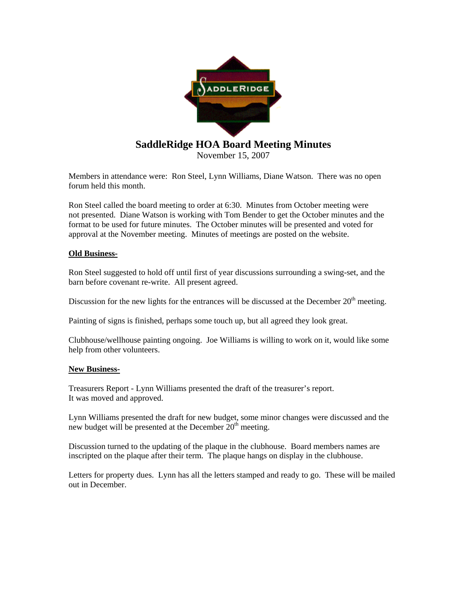

Members in attendance were: Ron Steel, Lynn Williams, Diane Watson. There was no open forum held this month.

Ron Steel called the board meeting to order at 6:30. Minutes from October meeting were not presented. Diane Watson is working with Tom Bender to get the October minutes and the format to be used for future minutes. The October minutes will be presented and voted for approval at the November meeting. Minutes of meetings are posted on the website.

## **Old Business-**

Ron Steel suggested to hold off until first of year discussions surrounding a swing-set, and the barn before covenant re-write. All present agreed.

Discussion for the new lights for the entrances will be discussed at the December  $20<sup>th</sup>$  meeting.

Painting of signs is finished, perhaps some touch up, but all agreed they look great.

Clubhouse/wellhouse painting ongoing. Joe Williams is willing to work on it, would like some help from other volunteers.

## **New Business-**

Treasurers Report - Lynn Williams presented the draft of the treasurer's report. It was moved and approved.

Lynn Williams presented the draft for new budget, some minor changes were discussed and the new budget will be presented at the December  $20<sup>th</sup>$  meeting.

Discussion turned to the updating of the plaque in the clubhouse. Board members names are inscripted on the plaque after their term. The plaque hangs on display in the clubhouse.

Letters for property dues. Lynn has all the letters stamped and ready to go. These will be mailed out in December.